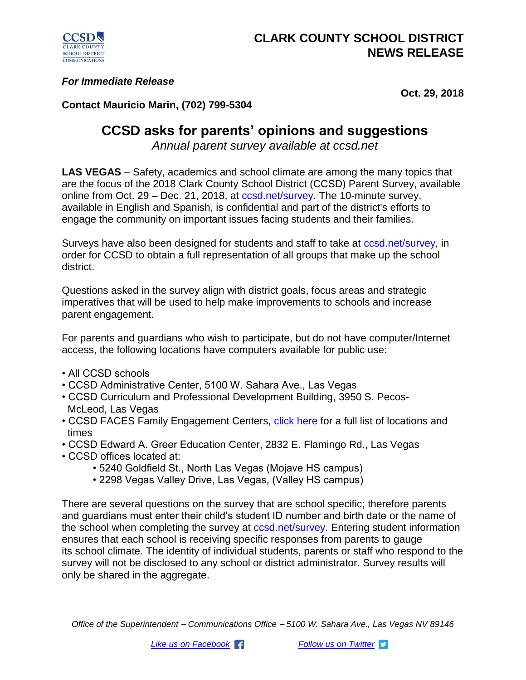

## *For Immediate Release*

**Oct. 29, 2018**

## **Contact Mauricio Marin, (702) 799-5304**

## **CCSD asks for parents' opinions and suggestions**

*Annual parent survey available at ccsd.net*

**LAS VEGAS** – Safety, academics and school climate are among the many topics that are the focus of the 2018 Clark County School District (CCSD) Parent Survey, available online from Oct. 29 – Dec. 21, 2018, at ccsd.net/survey. The 10-minute survey, available in English and Spanish, is confidential and part of the district's efforts to engage the community on important issues facing students and their families.

Surveys have also been designed for students and staff to take at ccsd.net/survey, in order for CCSD to obtain a full representation of all groups that make up the school district.

Questions asked in the survey align with district goals, focus areas and strategic imperatives that will be used to help make improvements to schools and increase parent engagement.

For parents and guardians who wish to participate, but do not have computer/Internet access, the following locations have computers available for public use:

- All CCSD schools
- CCSD Administrative Center, 5100 W. Sahara Ave., Las Vegas
- CCSD Curriculum and Professional Development Building, 3950 S. Pecos- McLeod, Las Vegas
- CCSD FACES Family Engagement Centers, [click here](http://faces.ccsd.net/about-us/family-centers/) for a full list of locations and times
- CCSD Edward A. Greer Education Center, 2832 E. Flamingo Rd., Las Vegas
- CCSD offices located at:
	- 5240 Goldfield St., North Las Vegas (Mojave HS campus)
	- 2298 Vegas Valley Drive, Las Vegas, (Valley HS campus)

There are several questions on the survey that are school specific; therefore parents and guardians must enter their child's student ID number and birth date or the name of the school when completing the survey at ccsd.net/survey. Entering student information ensures that each school is receiving specific responses from parents to gauge its school climate. The identity of individual students, parents or staff who respond to the survey will not be disclosed to any school or district administrator. Survey results will only be shared in the aggregate.

*Office of the Superintendent – Communications Office – 5100 W. Sahara Ave., Las Vegas NV 89146*